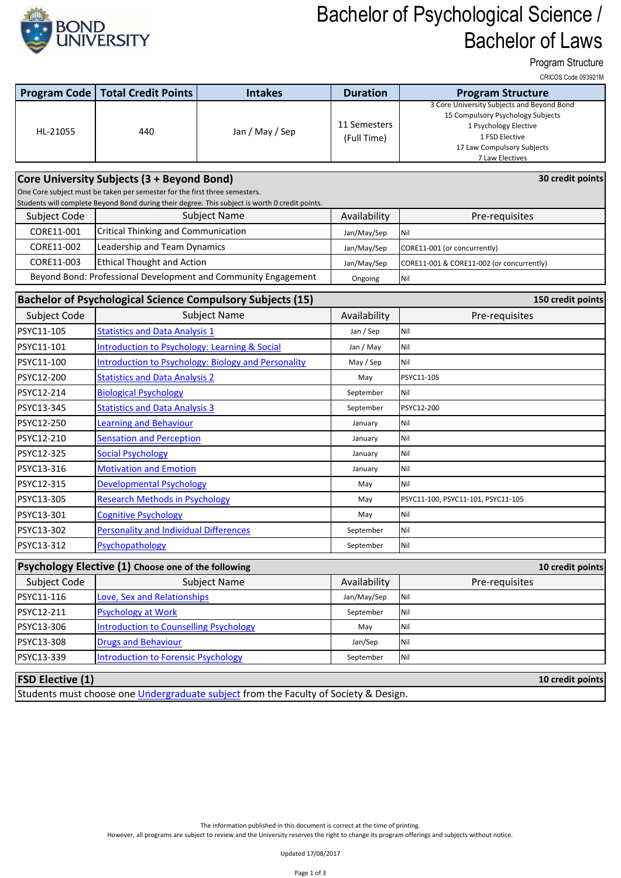

## Bachelor of Psychological Science / Bachelor of Laws

Program Structure

CRICOS Code 093921M

| <b>Program Code</b>                                                                                                                 | <b>Total Credit Points</b>                                     | <b>Intakes</b>                                                                                 | <b>Duration</b>             | <b>Program Structure</b>                                                                                                                                                    |  |  |  |
|-------------------------------------------------------------------------------------------------------------------------------------|----------------------------------------------------------------|------------------------------------------------------------------------------------------------|-----------------------------|-----------------------------------------------------------------------------------------------------------------------------------------------------------------------------|--|--|--|
| HL-21055                                                                                                                            | 440                                                            | Jan / May / Sep                                                                                | 11 Semesters<br>(Full Time) | 3 Core University Subjects and Beyond Bond<br>15 Compulsory Psychology Subjects<br>1 Psychology Elective<br>1 FSD Elective<br>17 Law Compulsory Subjects<br>7 Law Electives |  |  |  |
|                                                                                                                                     |                                                                |                                                                                                |                             | 30 credit points                                                                                                                                                            |  |  |  |
| Core University Subjects (3 + Beyond Bond)<br>One Core subject must be taken per semester for the first three semesters.            |                                                                |                                                                                                |                             |                                                                                                                                                                             |  |  |  |
|                                                                                                                                     |                                                                | Students will complete Beyond Bond during their degree. This subject is worth 0 credit points. |                             |                                                                                                                                                                             |  |  |  |
| Subject Code                                                                                                                        | <b>Subject Name</b>                                            |                                                                                                | Availability                | Pre-requisites                                                                                                                                                              |  |  |  |
| CORE11-001                                                                                                                          | <b>Critical Thinking and Communication</b>                     |                                                                                                | Jan/May/Sep                 | Nil                                                                                                                                                                         |  |  |  |
| CORE11-002                                                                                                                          | Leadership and Team Dynamics                                   |                                                                                                | Jan/May/Sep                 | CORE11-001 (or concurrently)                                                                                                                                                |  |  |  |
| CORE11-003                                                                                                                          | <b>Ethical Thought and Action</b>                              |                                                                                                | Jan/May/Sep                 | CORE11-001 & CORE11-002 (or concurrently)                                                                                                                                   |  |  |  |
|                                                                                                                                     | Beyond Bond: Professional Development and Community Engagement |                                                                                                | Ongoing                     | Nil                                                                                                                                                                         |  |  |  |
|                                                                                                                                     |                                                                | <b>Bachelor of Psychological Science Compulsory Subjects (15)</b>                              |                             | 150 credit points                                                                                                                                                           |  |  |  |
| Subject Code                                                                                                                        |                                                                | <b>Subject Name</b>                                                                            | Availability                | Pre-requisites                                                                                                                                                              |  |  |  |
| PSYC11-105                                                                                                                          | <b>Statistics and Data Analysis 1</b>                          |                                                                                                | Jan / Sep                   | Nil                                                                                                                                                                         |  |  |  |
| PSYC11-101                                                                                                                          | <b>Introduction to Psychology: Learning &amp; Social</b>       |                                                                                                | Jan / May                   | Nil                                                                                                                                                                         |  |  |  |
| PSYC11-100                                                                                                                          | <b>Introduction to Psychology: Biology and Personality</b>     |                                                                                                | May / Sep                   | Nil                                                                                                                                                                         |  |  |  |
| PSYC12-200                                                                                                                          | <b>Statistics and Data Analysis 2</b>                          |                                                                                                | May                         | PSYC11-105                                                                                                                                                                  |  |  |  |
| PSYC12-214                                                                                                                          | <b>Biological Psychology</b>                                   |                                                                                                | September                   | Nil                                                                                                                                                                         |  |  |  |
| PSYC13-345                                                                                                                          | <b>Statistics and Data Analysis 3</b>                          |                                                                                                | September                   | PSYC12-200                                                                                                                                                                  |  |  |  |
| PSYC12-250                                                                                                                          | <b>Learning and Behaviour</b>                                  |                                                                                                | January                     | Nil                                                                                                                                                                         |  |  |  |
| PSYC12-210                                                                                                                          | <b>Sensation and Perception</b>                                |                                                                                                | January                     | Nil                                                                                                                                                                         |  |  |  |
| PSYC12-325                                                                                                                          | <b>Social Psychology</b>                                       |                                                                                                | January                     | Nil                                                                                                                                                                         |  |  |  |
| PSYC13-316                                                                                                                          | <b>Motivation and Emotion</b>                                  |                                                                                                | January                     | Nil                                                                                                                                                                         |  |  |  |
| PSYC12-315                                                                                                                          | <b>Developmental Psychology</b>                                |                                                                                                | May                         | Nil                                                                                                                                                                         |  |  |  |
| PSYC13-305                                                                                                                          | <b>Research Methods in Psychology</b>                          |                                                                                                | May                         | PSYC11-100, PSYC11-101, PSYC11-105                                                                                                                                          |  |  |  |
| PSYC13-301                                                                                                                          | <b>Cognitive Psychology</b>                                    |                                                                                                | May                         | Nil                                                                                                                                                                         |  |  |  |
| PSYC13-302                                                                                                                          | <b>Personality and Individual Differences</b>                  |                                                                                                | September                   | Nil                                                                                                                                                                         |  |  |  |
| PSYC13-312                                                                                                                          | Psychopathology                                                |                                                                                                | September                   | Nil                                                                                                                                                                         |  |  |  |
|                                                                                                                                     | Psychology Elective (1) Choose one of the following            |                                                                                                |                             | 10 credit points                                                                                                                                                            |  |  |  |
| Subject Code                                                                                                                        |                                                                | <b>Subject Name</b>                                                                            | Availability                | Pre-requisites                                                                                                                                                              |  |  |  |
| PSYC11-116                                                                                                                          | Love, Sex and Relationships                                    |                                                                                                | Jan/May/Sep                 | Nil                                                                                                                                                                         |  |  |  |
| PSYC12-211                                                                                                                          | <b>Psychology at Work</b>                                      |                                                                                                | September                   | Nil                                                                                                                                                                         |  |  |  |
| PSYC13-306                                                                                                                          | <b>Introduction to Counselling Psychology</b>                  |                                                                                                | May                         | Nil                                                                                                                                                                         |  |  |  |
| PSYC13-308                                                                                                                          | <b>Drugs and Behaviour</b>                                     |                                                                                                | Jan/Sep                     | Nil                                                                                                                                                                         |  |  |  |
| PSYC13-339                                                                                                                          | <b>Introduction to Forensic Psychology</b>                     |                                                                                                | September                   | Nil                                                                                                                                                                         |  |  |  |
|                                                                                                                                     |                                                                |                                                                                                |                             |                                                                                                                                                                             |  |  |  |
| <b>FSD Elective (1)</b><br>10 credit points<br>Students must choose one Undergraduate subject from the Faculty of Society & Design. |                                                                |                                                                                                |                             |                                                                                                                                                                             |  |  |  |
|                                                                                                                                     |                                                                |                                                                                                |                             |                                                                                                                                                                             |  |  |  |

The information published in this document is correct at the time of printing.

However, all programs are subject to review and the University reserves the right to change its program offerings and subjects without notice.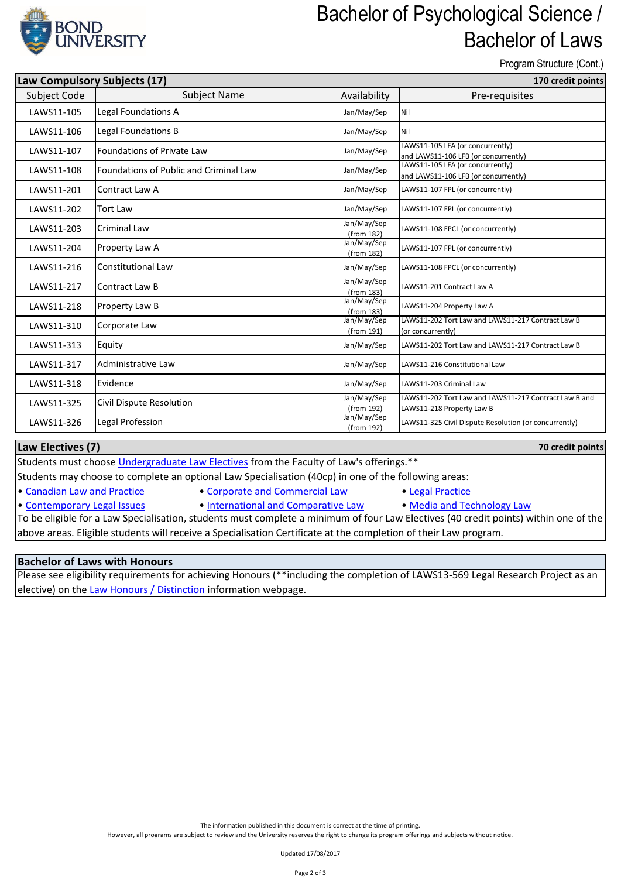

### Bachelor of Psychological Science / Bachelor of Laws

Program Structure (Cont.)

**70 credit points**

| Law Compulsory Subjects (17) |                                               | 170 credit points         |                                                                                    |
|------------------------------|-----------------------------------------------|---------------------------|------------------------------------------------------------------------------------|
| Subject Code                 | <b>Subject Name</b>                           | Availability              | Pre-requisites                                                                     |
| LAWS11-105                   | Legal Foundations A                           | Jan/May/Sep               | Nil                                                                                |
| LAWS11-106                   | Legal Foundations B                           | Jan/May/Sep               | Nil                                                                                |
| LAWS11-107                   | <b>Foundations of Private Law</b>             | Jan/May/Sep               | LAWS11-105 LFA (or concurrently)<br>and LAWS11-106 LFB (or concurrently)           |
| LAWS11-108                   | <b>Foundations of Public and Criminal Law</b> | Jan/May/Sep               | LAWS11-105 LFA (or concurrently)<br>and LAWS11-106 LFB (or concurrently)           |
| LAWS11-201                   | Contract Law A                                | Jan/May/Sep               | LAWS11-107 FPL (or concurrently)                                                   |
| LAWS11-202                   | <b>Tort Law</b>                               | Jan/May/Sep               | LAWS11-107 FPL (or concurrently)                                                   |
| LAWS11-203                   | <b>Criminal Law</b>                           | Jan/May/Sep<br>(from 182) | LAWS11-108 FPCL (or concurrently)                                                  |
| LAWS11-204                   | Property Law A                                | Jan/May/Sep<br>(from 182) | LAWS11-107 FPL (or concurrently)                                                   |
| LAWS11-216                   | Constitutional Law                            | Jan/May/Sep               | LAWS11-108 FPCL (or concurrently)                                                  |
| LAWS11-217                   | Contract Law B                                | Jan/May/Sep<br>(from 183) | LAWS11-201 Contract Law A                                                          |
| LAWS11-218                   | Property Law B                                | Jan/May/Sep<br>(from 183) | LAWS11-204 Property Law A                                                          |
| LAWS11-310                   | Corporate Law                                 | Jan/May/Sep<br>(from 191) | LAWS11-202 Tort Law and LAWS11-217 Contract Law B<br>(or concurrently)             |
| LAWS11-313                   | Equity                                        | Jan/May/Sep               | LAWS11-202 Tort Law and LAWS11-217 Contract Law B                                  |
| LAWS11-317                   | Administrative Law                            | Jan/May/Sep               | LAWS11-216 Constitutional Law                                                      |
| LAWS11-318                   | Evidence                                      | Jan/May/Sep               | LAWS11-203 Criminal Law                                                            |
| LAWS11-325                   | Civil Dispute Resolution                      | Jan/May/Sep<br>(from 192) | LAWS11-202 Tort Law and LAWS11-217 Contract Law B and<br>LAWS11-218 Property Law B |
| LAWS11-326                   | Legal Profession                              | Jan/May/Sep<br>(from 192) | LAWS11-325 Civil Dispute Resolution (or concurrently)                              |

#### **Law Electives (7)**

[Students must choose Undergraduate Law Electives from the Faculty of Law's offerings.\\*\\*](http://bond.edu.au/subjects/law-electives-undergraduate)

Students may choose to complete an optional Law Specialisation (40cp) in one of the following areas:

- [•](http://bond.edu.au/subjects/current-law-specialisations-undergraduate) [Canadian Law and Practice](http://bond.edu.au/subjects/current-law-specialisations-undergraduate) [Corporate and Commercial Law](http://bond.edu.au/subjects/current-law-specialisations-undergraduate) [Legal Practice](http://bond.edu.au/subjects/current-law-specialisations-undergraduate)
- [•](http://bond.edu.au/subjects/current-law-specialisations-undergraduate) [Contemporary Legal Issues](http://bond.edu.au/subjects/current-law-specialisations-undergraduate) [International and Comparative Law](http://bond.edu.au/subjects/current-law-specialisations-undergraduate) [Media and Technology Law](http://bond.edu.au/subjects/current-law-specialisations-undergraduate)
	-

To be eligible for a Law Specialisation, students must complete a minimum of four Law Electives (40 credit points) within one of the above areas. Eligible students will receive a Specialisation Certificate at the completion of their Law program.

#### **Bachelor of Laws with Honours**

[Please see eligibil](https://bond.edu.au/law-honours-distinction-information)ity requirements for achieving Honours (\*\*including the completion of LAWS13-569 Legal Research Project as an [elective\) on the Law Honours / Distinction](https://bond.edu.au/law-honours-distinction-information) information webpage.

However, all programs are subject to review and the University reserves the right to change its program offerings and subjects without notice.